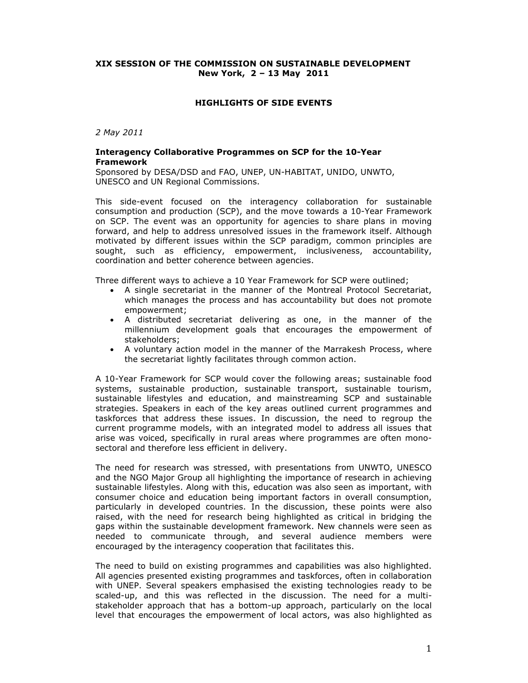## **XIX SESSION OF THE COMMISSION ON SUSTAINABLE DEVELOPMENT New York, 2 – 13 May 2011**

### **HIGHLIGHTS OF SIDE EVENTS**

*2 May 2011* 

### **Interagency Collaborative Programmes on SCP for the 10-Year Framework**

Sponsored by DESA/DSD and FAO, UNEP, UN-HABITAT, UNIDO, UNWTO, UNESCO and UN Regional Commissions.

This side-event focused on the interagency collaboration for sustainable consumption and production (SCP), and the move towards a 10-Year Framework on SCP. The event was an opportunity for agencies to share plans in moving forward, and help to address unresolved issues in the framework itself. Although motivated by different issues within the SCP paradigm, common principles are sought, such as efficiency, empowerment, inclusiveness, accountability, coordination and better coherence between agencies.

Three different ways to achieve a 10 Year Framework for SCP were outlined;

- A single secretariat in the manner of the Montreal Protocol Secretariat, which manages the process and has accountability but does not promote empowerment;
- A distributed secretariat delivering as one, in the manner of the millennium development goals that encourages the empowerment of stakeholders;
- A voluntary action model in the manner of the Marrakesh Process, where the secretariat lightly facilitates through common action.

A 10-Year Framework for SCP would cover the following areas; sustainable food systems, sustainable production, sustainable transport, sustainable tourism, sustainable lifestyles and education, and mainstreaming SCP and sustainable strategies. Speakers in each of the key areas outlined current programmes and taskforces that address these issues. In discussion, the need to regroup the current programme models, with an integrated model to address all issues that arise was voiced, specifically in rural areas where programmes are often monosectoral and therefore less efficient in delivery.

The need for research was stressed, with presentations from UNWTO, UNESCO and the NGO Major Group all highlighting the importance of research in achieving sustainable lifestyles. Along with this, education was also seen as important, with consumer choice and education being important factors in overall consumption, particularly in developed countries. In the discussion, these points were also raised, with the need for research being highlighted as critical in bridging the gaps within the sustainable development framework. New channels were seen as needed to communicate through, and several audience members were encouraged by the interagency cooperation that facilitates this.

The need to build on existing programmes and capabilities was also highlighted. All agencies presented existing programmes and taskforces, often in collaboration with UNEP. Several speakers emphasised the existing technologies ready to be scaled-up, and this was reflected in the discussion. The need for a multistakeholder approach that has a bottom-up approach, particularly on the local level that encourages the empowerment of local actors, was also highlighted as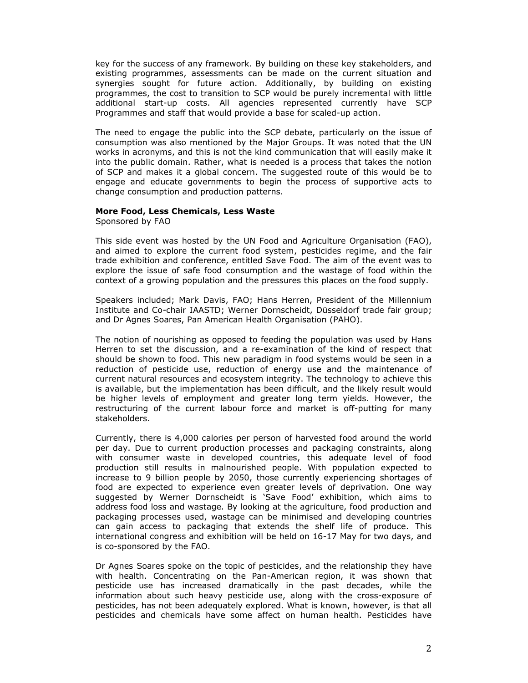key for the success of any framework. By building on these key stakeholders, and existing programmes, assessments can be made on the current situation and synergies sought for future action. Additionally, by building on existing programmes, the cost to transition to SCP would be purely incremental with little additional start-up costs. All agencies represented currently have SCP Programmes and staff that would provide a base for scaled-up action.

The need to engage the public into the SCP debate, particularly on the issue of consumption was also mentioned by the Major Groups. It was noted that the UN works in acronyms, and this is not the kind communication that will easily make it into the public domain. Rather, what is needed is a process that takes the notion of SCP and makes it a global concern. The suggested route of this would be to engage and educate governments to begin the process of supportive acts to change consumption and production patterns.

## **More Food, Less Chemicals, Less Waste**

Sponsored by FAO

This side event was hosted by the UN Food and Agriculture Organisation (FAO), and aimed to explore the current food system, pesticides regime, and the fair trade exhibition and conference, entitled Save Food. The aim of the event was to explore the issue of safe food consumption and the wastage of food within the context of a growing population and the pressures this places on the food supply.

Speakers included; Mark Davis, FAO; Hans Herren, President of the Millennium Institute and Co-chair IAASTD; Werner Dornscheidt, Düsseldorf trade fair group; and Dr Agnes Soares, Pan American Health Organisation (PAHO).

The notion of nourishing as opposed to feeding the population was used by Hans Herren to set the discussion, and a re-examination of the kind of respect that should be shown to food. This new paradigm in food systems would be seen in a reduction of pesticide use, reduction of energy use and the maintenance of current natural resources and ecosystem integrity. The technology to achieve this is available, but the implementation has been difficult, and the likely result would be higher levels of employment and greater long term yields. However, the restructuring of the current labour force and market is off-putting for many stakeholders.

Currently, there is 4,000 calories per person of harvested food around the world per day. Due to current production processes and packaging constraints, along with consumer waste in developed countries, this adequate level of food production still results in malnourished people. With population expected to increase to 9 billion people by 2050, those currently experiencing shortages of food are expected to experience even greater levels of deprivation. One way suggested by Werner Dornscheidt is 'Save Food' exhibition, which aims to address food loss and wastage. By looking at the agriculture, food production and packaging processes used, wastage can be minimised and developing countries can gain access to packaging that extends the shelf life of produce. This international congress and exhibition will be held on 16-17 May for two days, and is co-sponsored by the FAO.

Dr Agnes Soares spoke on the topic of pesticides, and the relationship they have with health. Concentrating on the Pan-American region, it was shown that pesticide use has increased dramatically in the past decades, while the information about such heavy pesticide use, along with the cross-exposure of pesticides, has not been adequately explored. What is known, however, is that all pesticides and chemicals have some affect on human health. Pesticides have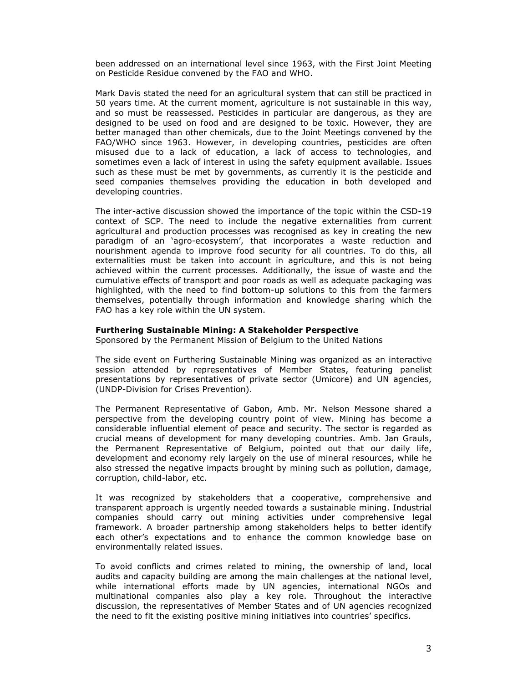been addressed on an international level since 1963, with the First Joint Meeting on Pesticide Residue convened by the FAO and WHO.

Mark Davis stated the need for an agricultural system that can still be practiced in 50 years time. At the current moment, agriculture is not sustainable in this way, and so must be reassessed. Pesticides in particular are dangerous, as they are designed to be used on food and are designed to be toxic. However, they are better managed than other chemicals, due to the Joint Meetings convened by the FAO/WHO since 1963. However, in developing countries, pesticides are often misused due to a lack of education, a lack of access to technologies, and sometimes even a lack of interest in using the safety equipment available. Issues such as these must be met by governments, as currently it is the pesticide and seed companies themselves providing the education in both developed and developing countries.

The inter-active discussion showed the importance of the topic within the CSD-19 context of SCP. The need to include the negative externalities from current agricultural and production processes was recognised as key in creating the new paradigm of an 'agro-ecosystem', that incorporates a waste reduction and nourishment agenda to improve food security for all countries. To do this, all externalities must be taken into account in agriculture, and this is not being achieved within the current processes. Additionally, the issue of waste and the cumulative effects of transport and poor roads as well as adequate packaging was highlighted, with the need to find bottom-up solutions to this from the farmers themselves, potentially through information and knowledge sharing which the FAO has a key role within the UN system.

### **Furthering Sustainable Mining: A Stakeholder Perspective**

Sponsored by the Permanent Mission of Belgium to the United Nations

The side event on Furthering Sustainable Mining was organized as an interactive session attended by representatives of Member States, featuring panelist presentations by representatives of private sector (Umicore) and UN agencies, (UNDP-Division for Crises Prevention).

The Permanent Representative of Gabon, Amb. Mr. Nelson Messone shared a perspective from the developing country point of view. Mining has become a considerable influential element of peace and security. The sector is regarded as crucial means of development for many developing countries. Amb. Jan Grauls, the Permanent Representative of Belgium, pointed out that our daily life, development and economy rely largely on the use of mineral resources, while he also stressed the negative impacts brought by mining such as pollution, damage, corruption, child-labor, etc.

It was recognized by stakeholders that a cooperative, comprehensive and transparent approach is urgently needed towards a sustainable mining. Industrial companies should carry out mining activities under comprehensive legal framework. A broader partnership among stakeholders helps to better identify each other's expectations and to enhance the common knowledge base on environmentally related issues.

To avoid conflicts and crimes related to mining, the ownership of land, local audits and capacity building are among the main challenges at the national level, while international efforts made by UN agencies, international NGOs and multinational companies also play a key role. Throughout the interactive discussion, the representatives of Member States and of UN agencies recognized the need to fit the existing positive mining initiatives into countries' specifics.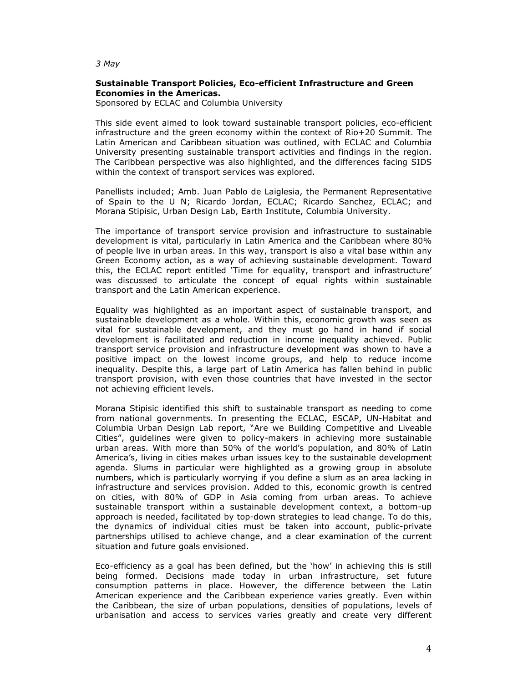*3 May* 

# **Sustainable Transport Policies, Eco-efficient Infrastructure and Green Economies in the Americas.**

Sponsored by ECLAC and Columbia University

This side event aimed to look toward sustainable transport policies, eco-efficient infrastructure and the green economy within the context of Rio+20 Summit. The Latin American and Caribbean situation was outlined, with ECLAC and Columbia University presenting sustainable transport activities and findings in the region. The Caribbean perspective was also highlighted, and the differences facing SIDS within the context of transport services was explored.

Panellists included; Amb. Juan Pablo de Laiglesia, the Permanent Representative of Spain to the U N; Ricardo Jordan, ECLAC; Ricardo Sanchez, ECLAC; and Morana Stipisic, Urban Design Lab, Earth Institute, Columbia University.

The importance of transport service provision and infrastructure to sustainable development is vital, particularly in Latin America and the Caribbean where 80% of people live in urban areas. In this way, transport is also a vital base within any Green Economy action, as a way of achieving sustainable development. Toward this, the ECLAC report entitled 'Time for equality, transport and infrastructure' was discussed to articulate the concept of equal rights within sustainable transport and the Latin American experience.

Equality was highlighted as an important aspect of sustainable transport, and sustainable development as a whole. Within this, economic growth was seen as vital for sustainable development, and they must go hand in hand if social development is facilitated and reduction in income inequality achieved. Public transport service provision and infrastructure development was shown to have a positive impact on the lowest income groups, and help to reduce income inequality. Despite this, a large part of Latin America has fallen behind in public transport provision, with even those countries that have invested in the sector not achieving efficient levels.

Morana Stipisic identified this shift to sustainable transport as needing to come from national governments. In presenting the ECLAC, ESCAP, UN-Habitat and Columbia Urban Design Lab report, "Are we Building Competitive and Liveable Cities", guidelines were given to policy-makers in achieving more sustainable urban areas. With more than 50% of the world's population, and 80% of Latin America's, living in cities makes urban issues key to the sustainable development agenda. Slums in particular were highlighted as a growing group in absolute numbers, which is particularly worrying if you define a slum as an area lacking in infrastructure and services provision. Added to this, economic growth is centred on cities, with 80% of GDP in Asia coming from urban areas. To achieve sustainable transport within a sustainable development context, a bottom-up approach is needed, facilitated by top-down strategies to lead change. To do this, the dynamics of individual cities must be taken into account, public-private partnerships utilised to achieve change, and a clear examination of the current situation and future goals envisioned.

Eco-efficiency as a goal has been defined, but the 'how' in achieving this is still being formed. Decisions made today in urban infrastructure, set future consumption patterns in place. However, the difference between the Latin American experience and the Caribbean experience varies greatly. Even within the Caribbean, the size of urban populations, densities of populations, levels of urbanisation and access to services varies greatly and create very different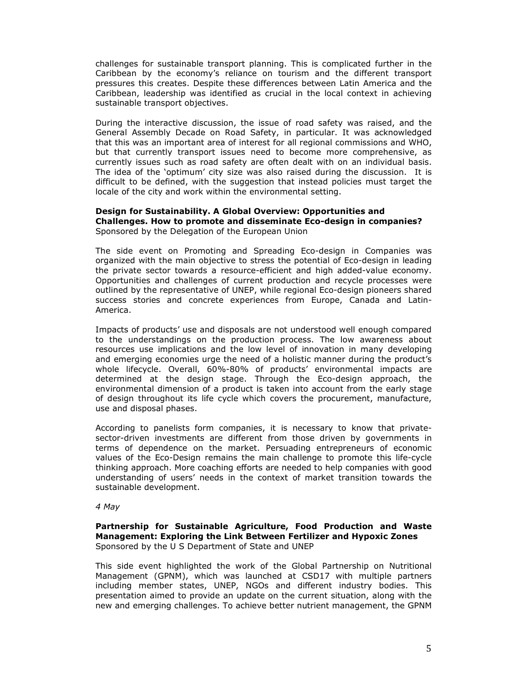challenges for sustainable transport planning. This is complicated further in the Caribbean by the economy's reliance on tourism and the different transport pressures this creates. Despite these differences between Latin America and the Caribbean, leadership was identified as crucial in the local context in achieving sustainable transport objectives.

During the interactive discussion, the issue of road safety was raised, and the General Assembly Decade on Road Safety, in particular. It was acknowledged that this was an important area of interest for all regional commissions and WHO, but that currently transport issues need to become more comprehensive, as currently issues such as road safety are often dealt with on an individual basis. The idea of the 'optimum' city size was also raised during the discussion. It is difficult to be defined, with the suggestion that instead policies must target the locale of the city and work within the environmental setting.

### **Design for Sustainability. A Global Overview: Opportunities and Challenges. How to promote and disseminate Eco-design in companies?**  Sponsored by the Delegation of the European Union

The side event on Promoting and Spreading Eco-design in Companies was organized with the main objective to stress the potential of Eco-design in leading the private sector towards a resource-efficient and high added-value economy. Opportunities and challenges of current production and recycle processes were outlined by the representative of UNEP, while regional Eco-design pioneers shared success stories and concrete experiences from Europe, Canada and Latin-America.

Impacts of products' use and disposals are not understood well enough compared to the understandings on the production process. The low awareness about resources use implications and the low level of innovation in many developing and emerging economies urge the need of a holistic manner during the product's whole lifecycle. Overall, 60%-80% of products' environmental impacts are determined at the design stage. Through the Eco-design approach, the environmental dimension of a product is taken into account from the early stage of design throughout its life cycle which covers the procurement, manufacture, use and disposal phases.

According to panelists form companies, it is necessary to know that privatesector-driven investments are different from those driven by governments in terms of dependence on the market. Persuading entrepreneurs of economic values of the Eco-Design remains the main challenge to promote this life-cycle thinking approach. More coaching efforts are needed to help companies with good understanding of users' needs in the context of market transition towards the sustainable development.

*4 May* 

### **Partnership for Sustainable Agriculture, Food Production and Waste Management: Exploring the Link Between Fertilizer and Hypoxic Zones**  Sponsored by the U S Department of State and UNEP

This side event highlighted the work of the Global Partnership on Nutritional Management (GPNM), which was launched at CSD17 with multiple partners including member states, UNEP, NGOs and different industry bodies. This presentation aimed to provide an update on the current situation, along with the new and emerging challenges. To achieve better nutrient management, the GPNM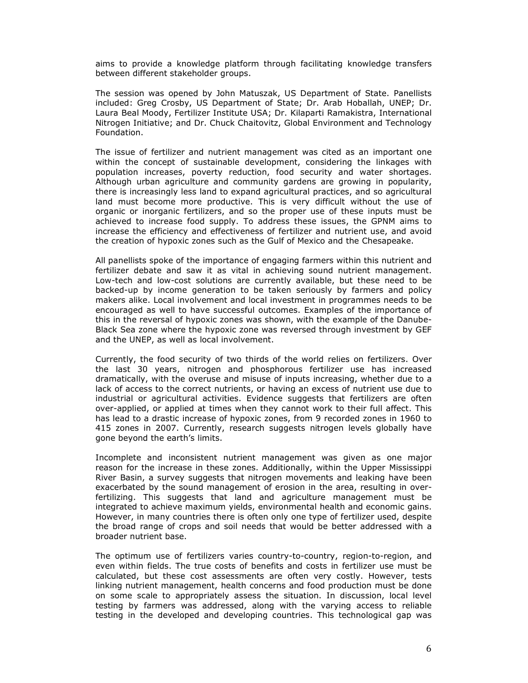aims to provide a knowledge platform through facilitating knowledge transfers between different stakeholder groups.

The session was opened by John Matuszak, US Department of State. Panellists included: Greg Crosby, US Department of State; Dr. Arab Hoballah, UNEP; Dr. Laura Beal Moody, Fertilizer Institute USA; Dr. Kilaparti Ramakistra, International Nitrogen Initiative; and Dr. Chuck Chaitovitz, Global Environment and Technology Foundation.

The issue of fertilizer and nutrient management was cited as an important one within the concept of sustainable development, considering the linkages with population increases, poverty reduction, food security and water shortages. Although urban agriculture and community gardens are growing in popularity, there is increasingly less land to expand agricultural practices, and so agricultural land must become more productive. This is very difficult without the use of organic or inorganic fertilizers, and so the proper use of these inputs must be achieved to increase food supply. To address these issues, the GPNM aims to increase the efficiency and effectiveness of fertilizer and nutrient use, and avoid the creation of hypoxic zones such as the Gulf of Mexico and the Chesapeake.

All panellists spoke of the importance of engaging farmers within this nutrient and fertilizer debate and saw it as vital in achieving sound nutrient management. Low-tech and low-cost solutions are currently available, but these need to be backed-up by income generation to be taken seriously by farmers and policy makers alike. Local involvement and local investment in programmes needs to be encouraged as well to have successful outcomes. Examples of the importance of this in the reversal of hypoxic zones was shown, with the example of the Danube-Black Sea zone where the hypoxic zone was reversed through investment by GEF and the UNEP, as well as local involvement.

Currently, the food security of two thirds of the world relies on fertilizers. Over the last 30 years, nitrogen and phosphorous fertilizer use has increased dramatically, with the overuse and misuse of inputs increasing, whether due to a lack of access to the correct nutrients, or having an excess of nutrient use due to industrial or agricultural activities. Evidence suggests that fertilizers are often over-applied, or applied at times when they cannot work to their full affect. This has lead to a drastic increase of hypoxic zones, from 9 recorded zones in 1960 to 415 zones in 2007. Currently, research suggests nitrogen levels globally have gone beyond the earth's limits.

Incomplete and inconsistent nutrient management was given as one major reason for the increase in these zones. Additionally, within the Upper Mississippi River Basin, a survey suggests that nitrogen movements and leaking have been exacerbated by the sound management of erosion in the area, resulting in overfertilizing. This suggests that land and agriculture management must be integrated to achieve maximum yields, environmental health and economic gains. However, in many countries there is often only one type of fertilizer used, despite the broad range of crops and soil needs that would be better addressed with a broader nutrient base.

The optimum use of fertilizers varies country-to-country, region-to-region, and even within fields. The true costs of benefits and costs in fertilizer use must be calculated, but these cost assessments are often very costly. However, tests linking nutrient management, health concerns and food production must be done on some scale to appropriately assess the situation. In discussion, local level testing by farmers was addressed, along with the varying access to reliable testing in the developed and developing countries. This technological gap was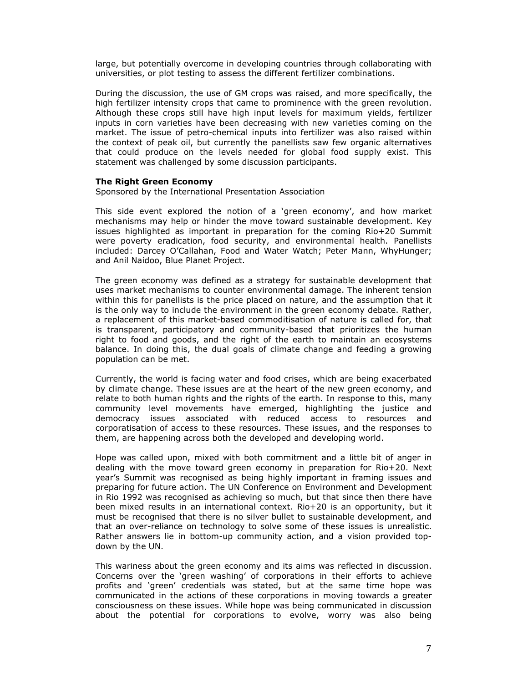large, but potentially overcome in developing countries through collaborating with universities, or plot testing to assess the different fertilizer combinations.

During the discussion, the use of GM crops was raised, and more specifically, the high fertilizer intensity crops that came to prominence with the green revolution. Although these crops still have high input levels for maximum yields, fertilizer inputs in corn varieties have been decreasing with new varieties coming on the market. The issue of petro-chemical inputs into fertilizer was also raised within the context of peak oil, but currently the panellists saw few organic alternatives that could produce on the levels needed for global food supply exist. This statement was challenged by some discussion participants.

### **The Right Green Economy**

Sponsored by the International Presentation Association

This side event explored the notion of a 'green economy', and how market mechanisms may help or hinder the move toward sustainable development. Key issues highlighted as important in preparation for the coming Rio+20 Summit were poverty eradication, food security, and environmental health. Panellists included: Darcey O'Callahan, Food and Water Watch; Peter Mann, WhyHunger; and Anil Naidoo, Blue Planet Project.

The green economy was defined as a strategy for sustainable development that uses market mechanisms to counter environmental damage. The inherent tension within this for panellists is the price placed on nature, and the assumption that it is the only way to include the environment in the green economy debate. Rather, a replacement of this market-based commoditisation of nature is called for, that is transparent, participatory and community-based that prioritizes the human right to food and goods, and the right of the earth to maintain an ecosystems balance. In doing this, the dual goals of climate change and feeding a growing population can be met.

Currently, the world is facing water and food crises, which are being exacerbated by climate change. These issues are at the heart of the new green economy, and relate to both human rights and the rights of the earth. In response to this, many community level movements have emerged, highlighting the justice and democracy issues associated with reduced access to resources and corporatisation of access to these resources. These issues, and the responses to them, are happening across both the developed and developing world.

Hope was called upon, mixed with both commitment and a little bit of anger in dealing with the move toward green economy in preparation for Rio+20. Next year's Summit was recognised as being highly important in framing issues and preparing for future action. The UN Conference on Environment and Development in Rio 1992 was recognised as achieving so much, but that since then there have been mixed results in an international context. Rio+20 is an opportunity, but it must be recognised that there is no silver bullet to sustainable development, and that an over-reliance on technology to solve some of these issues is unrealistic. Rather answers lie in bottom-up community action, and a vision provided topdown by the UN.

This wariness about the green economy and its aims was reflected in discussion. Concerns over the 'green washing' of corporations in their efforts to achieve profits and 'green' credentials was stated, but at the same time hope was communicated in the actions of these corporations in moving towards a greater consciousness on these issues. While hope was being communicated in discussion about the potential for corporations to evolve, worry was also being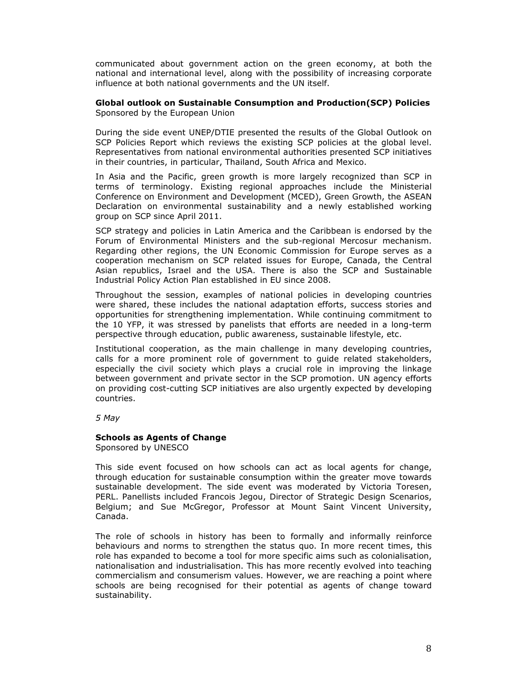communicated about government action on the green economy, at both the national and international level, along with the possibility of increasing corporate influence at both national governments and the UN itself.

### **Global outlook on Sustainable Consumption and Production(SCP) Policies**  Sponsored by the European Union

During the side event UNEP/DTIE presented the results of the Global Outlook on SCP Policies Report which reviews the existing SCP policies at the global level. Representatives from national environmental authorities presented SCP initiatives in their countries, in particular, Thailand, South Africa and Mexico.

In Asia and the Pacific, green growth is more largely recognized than SCP in terms of terminology. Existing regional approaches include the Ministerial Conference on Environment and Development (MCED), Green Growth, the ASEAN Declaration on environmental sustainability and a newly established working group on SCP since April 2011.

SCP strategy and policies in Latin America and the Caribbean is endorsed by the Forum of Environmental Ministers and the sub-regional Mercosur mechanism. Regarding other regions, the UN Economic Commission for Europe serves as a cooperation mechanism on SCP related issues for Europe, Canada, the Central Asian republics, Israel and the USA. There is also the SCP and Sustainable Industrial Policy Action Plan established in EU since 2008.

Throughout the session, examples of national policies in developing countries were shared, these includes the national adaptation efforts, success stories and opportunities for strengthening implementation. While continuing commitment to the 10 YFP, it was stressed by panelists that efforts are needed in a long-term perspective through education, public awareness, sustainable lifestyle, etc.

Institutional cooperation, as the main challenge in many developing countries, calls for a more prominent role of government to guide related stakeholders, especially the civil society which plays a crucial role in improving the linkage between government and private sector in the SCP promotion. UN agency efforts on providing cost-cutting SCP initiatives are also urgently expected by developing countries.

*5 May* 

## **Schools as Agents of Change**

Sponsored by UNESCO

This side event focused on how schools can act as local agents for change, through education for sustainable consumption within the greater move towards sustainable development. The side event was moderated by Victoria Toresen, PERL. Panellists included Francois Jegou, Director of Strategic Design Scenarios, Belgium; and Sue McGregor, Professor at Mount Saint Vincent University, Canada.

The role of schools in history has been to formally and informally reinforce behaviours and norms to strengthen the status quo. In more recent times, this role has expanded to become a tool for more specific aims such as colonialisation, nationalisation and industrialisation. This has more recently evolved into teaching commercialism and consumerism values. However, we are reaching a point where schools are being recognised for their potential as agents of change toward sustainability.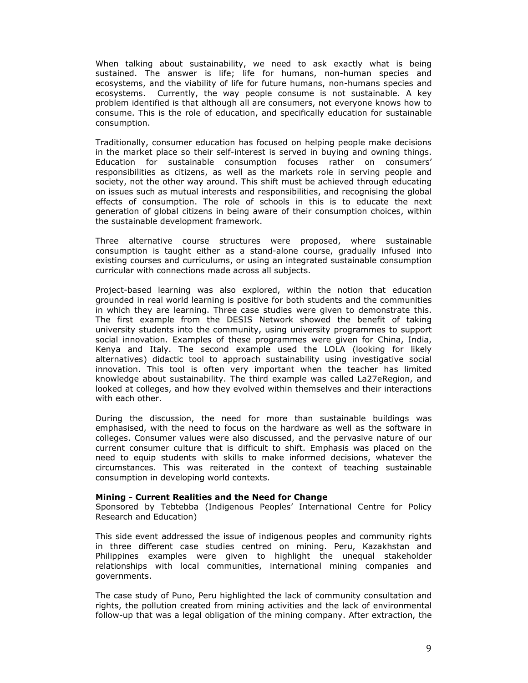When talking about sustainability, we need to ask exactly what is being sustained. The answer is life; life for humans, non-human species and ecosystems, and the viability of life for future humans, non-humans species and ecosystems. Currently, the way people consume is not sustainable. A key problem identified is that although all are consumers, not everyone knows how to consume. This is the role of education, and specifically education for sustainable consumption.

Traditionally, consumer education has focused on helping people make decisions in the market place so their self-interest is served in buying and owning things. Education for sustainable consumption focuses rather on consumers' responsibilities as citizens, as well as the markets role in serving people and society, not the other way around. This shift must be achieved through educating on issues such as mutual interests and responsibilities, and recognising the global effects of consumption. The role of schools in this is to educate the next generation of global citizens in being aware of their consumption choices, within the sustainable development framework.

Three alternative course structures were proposed, where sustainable consumption is taught either as a stand-alone course, gradually infused into existing courses and curriculums, or using an integrated sustainable consumption curricular with connections made across all subjects.

Project-based learning was also explored, within the notion that education grounded in real world learning is positive for both students and the communities in which they are learning. Three case studies were given to demonstrate this. The first example from the DESIS Network showed the benefit of taking university students into the community, using university programmes to support social innovation. Examples of these programmes were given for China, India, Kenya and Italy. The second example used the LOLA (looking for likely alternatives) didactic tool to approach sustainability using investigative social innovation. This tool is often very important when the teacher has limited knowledge about sustainability. The third example was called La27eRegion, and looked at colleges, and how they evolved within themselves and their interactions with each other.

During the discussion, the need for more than sustainable buildings was emphasised, with the need to focus on the hardware as well as the software in colleges. Consumer values were also discussed, and the pervasive nature of our current consumer culture that is difficult to shift. Emphasis was placed on the need to equip students with skills to make informed decisions, whatever the circumstances. This was reiterated in the context of teaching sustainable consumption in developing world contexts.

### **Mining - Current Realities and the Need for Change**

Sponsored by Tebtebba (Indigenous Peoples' International Centre for Policy Research and Education)

This side event addressed the issue of indigenous peoples and community rights in three different case studies centred on mining. Peru, Kazakhstan and Philippines examples were given to highlight the unequal stakeholder relationships with local communities, international mining companies and governments.

The case study of Puno, Peru highlighted the lack of community consultation and rights, the pollution created from mining activities and the lack of environmental follow-up that was a legal obligation of the mining company. After extraction, the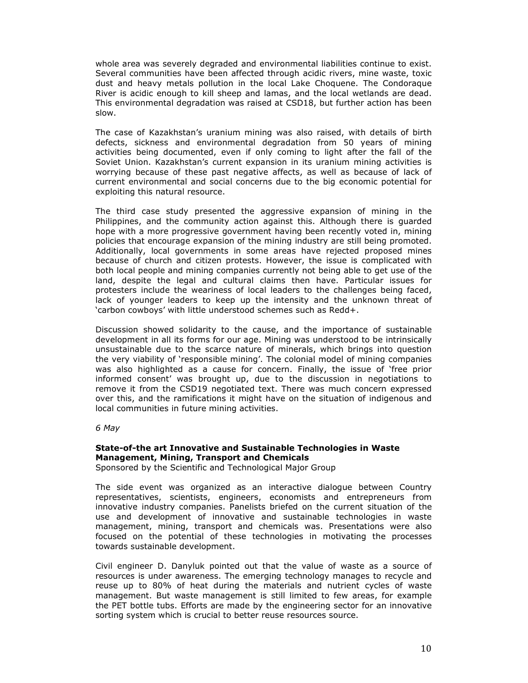whole area was severely degraded and environmental liabilities continue to exist. Several communities have been affected through acidic rivers, mine waste, toxic dust and heavy metals pollution in the local Lake Choquene. The Condoraque River is acidic enough to kill sheep and lamas, and the local wetlands are dead. This environmental degradation was raised at CSD18, but further action has been slow.

The case of Kazakhstan's uranium mining was also raised, with details of birth defects, sickness and environmental degradation from 50 years of mining activities being documented, even if only coming to light after the fall of the Soviet Union. Kazakhstan's current expansion in its uranium mining activities is worrying because of these past negative affects, as well as because of lack of current environmental and social concerns due to the big economic potential for exploiting this natural resource.

The third case study presented the aggressive expansion of mining in the Philippines, and the community action against this. Although there is guarded hope with a more progressive government having been recently voted in, mining policies that encourage expansion of the mining industry are still being promoted. Additionally, local governments in some areas have rejected proposed mines because of church and citizen protests. However, the issue is complicated with both local people and mining companies currently not being able to get use of the land, despite the legal and cultural claims then have. Particular issues for protesters include the weariness of local leaders to the challenges being faced, lack of younger leaders to keep up the intensity and the unknown threat of 'carbon cowboys' with little understood schemes such as Redd+.

Discussion showed solidarity to the cause, and the importance of sustainable development in all its forms for our age. Mining was understood to be intrinsically unsustainable due to the scarce nature of minerals, which brings into question the very viability of 'responsible mining'. The colonial model of mining companies was also highlighted as a cause for concern. Finally, the issue of 'free prior informed consent' was brought up, due to the discussion in negotiations to remove it from the CSD19 negotiated text. There was much concern expressed over this, and the ramifications it might have on the situation of indigenous and local communities in future mining activities.

*6 May* 

# **State-of-the art Innovative and Sustainable Technologies in Waste Management, Mining, Transport and Chemicals**

Sponsored by the Scientific and Technological Major Group

The side event was organized as an interactive dialogue between Country representatives, scientists, engineers, economists and entrepreneurs from innovative industry companies. Panelists briefed on the current situation of the use and development of innovative and sustainable technologies in waste management, mining, transport and chemicals was. Presentations were also focused on the potential of these technologies in motivating the processes towards sustainable development.

Civil engineer D. Danyluk pointed out that the value of waste as a source of resources is under awareness. The emerging technology manages to recycle and reuse up to 80% of heat during the materials and nutrient cycles of waste management. But waste management is still limited to few areas, for example the PET bottle tubs. Efforts are made by the engineering sector for an innovative sorting system which is crucial to better reuse resources source.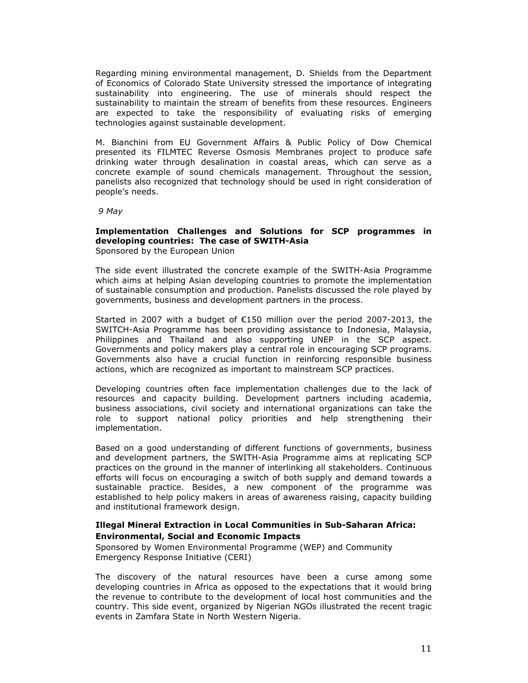Regarding mining environmental management, D. Shields from the Department of Economics of Colorado State University stressed the importance of integrating sustainability into engineering. The use of minerals should respect the sustainability to maintain the stream of benefits from these resources. Engineers are expected to take the responsibility of evaluating risks of emerging technologies against sustainable development.

M. Bianchini from EU Government Affairs & Public Policy of Dow Chemical presented its FILMTEC Reverse Osmosis Membranes project to produce safe drinking water through desalination in coastal areas, which can serve as a concrete example of sound chemicals management. Throughout the session, panelists also recognized that technology should be used in right consideration of people's needs.

 *9 May* 

#### **Implementation Challenges and Solutions for SCP programmes in developing countries: The case of SWITH-Asia**  Sponsored by the European Union

The side event illustrated the concrete example of the SWITH-Asia Programme which aims at helping Asian developing countries to promote the implementation of sustainable consumption and production. Panelists discussed the role played by governments, business and development partners in the process.

Started in 2007 with a budget of €150 million over the period 2007-2013, the SWITCH-Asia Programme has been providing assistance to Indonesia, Malaysia, Philippines and Thailand and also supporting UNEP in the SCP aspect. Governments and policy makers play a central role in encouraging SCP programs. Governments also have a crucial function in reinforcing responsible business actions, which are recognized as important to mainstream SCP practices.

Developing countries often face implementation challenges due to the lack of resources and capacity building. Development partners including academia, business associations, civil society and international organizations can take the role to support national policy priorities and help strengthening their implementation.

Based on a good understanding of different functions of governments, business and development partners, the SWITH-Asia Programme aims at replicating SCP practices on the ground in the manner of interlinking all stakeholders. Continuous efforts will focus on encouraging a switch of both supply and demand towards a sustainable practice. Besides, a new component of the programme was established to help policy makers in areas of awareness raising, capacity building and institutional framework design.

# **Illegal Mineral Extraction in Local Communities in Sub-Saharan Africa: Environmental, Social and Economic Impacts**

Sponsored by Women Environmental Programme (WEP) and Community Emergency Response Initiative (CERI)

The discovery of the natural resources have been a curse among some developing countries in Africa as opposed to the expectations that it would bring the revenue to contribute to the development of local host communities and the country. This side event, organized by Nigerian NGOs illustrated the recent tragic events in Zamfara State in North Western Nigeria.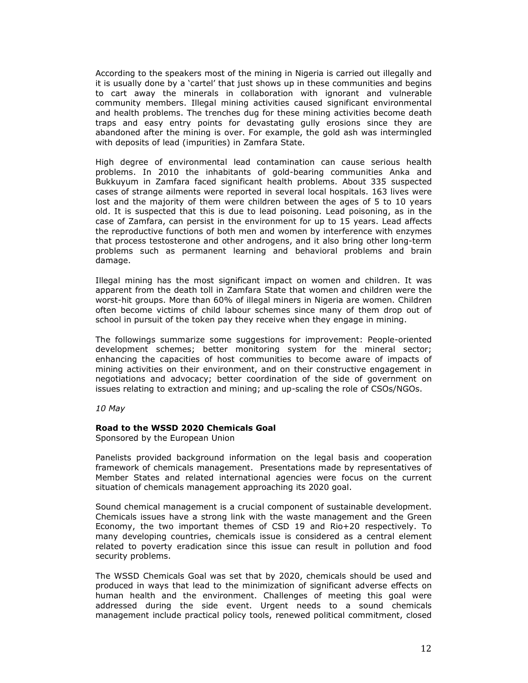According to the speakers most of the mining in Nigeria is carried out illegally and it is usually done by a 'cartel' that just shows up in these communities and begins to cart away the minerals in collaboration with ignorant and vulnerable community members. Illegal mining activities caused significant environmental and health problems. The trenches dug for these mining activities become death traps and easy entry points for devastating gully erosions since they are abandoned after the mining is over. For example, the gold ash was intermingled with deposits of lead (impurities) in Zamfara State.

High degree of environmental lead contamination can cause serious health problems. In 2010 the inhabitants of gold-bearing communities Anka and Bukkuyum in Zamfara faced significant health problems. About 335 suspected cases of strange ailments were reported in several local hospitals. 163 lives were lost and the majority of them were children between the ages of 5 to 10 years old. It is suspected that this is due to lead poisoning. Lead poisoning, as in the case of Zamfara, can persist in the environment for up to 15 years. Lead affects the reproductive functions of both men and women by interference with enzymes that process testosterone and other androgens, and it also bring other long-term problems such as permanent learning and behavioral problems and brain damage.

Illegal mining has the most significant impact on women and children. It was apparent from the death toll in Zamfara State that women and children were the worst-hit groups. More than 60% of illegal miners in Nigeria are women. Children often become victims of child labour schemes since many of them drop out of school in pursuit of the token pay they receive when they engage in mining.

The followings summarize some suggestions for improvement: People-oriented development schemes; better monitoring system for the mineral sector; enhancing the capacities of host communities to become aware of impacts of mining activities on their environment, and on their constructive engagement in negotiations and advocacy; better coordination of the side of government on issues relating to extraction and mining; and up-scaling the role of CSOs/NGOs.

*10 May* 

## **Road to the WSSD 2020 Chemicals Goal**

Sponsored by the European Union

Panelists provided background information on the legal basis and cooperation framework of chemicals management. Presentations made by representatives of Member States and related international agencies were focus on the current situation of chemicals management approaching its 2020 goal.

Sound chemical management is a crucial component of sustainable development. Chemicals issues have a strong link with the waste management and the Green Economy, the two important themes of CSD 19 and Rio+20 respectively. To many developing countries, chemicals issue is considered as a central element related to poverty eradication since this issue can result in pollution and food security problems.

The WSSD Chemicals Goal was set that by 2020, chemicals should be used and produced in ways that lead to the minimization of significant adverse effects on human health and the environment. Challenges of meeting this goal were addressed during the side event. Urgent needs to a sound chemicals management include practical policy tools, renewed political commitment, closed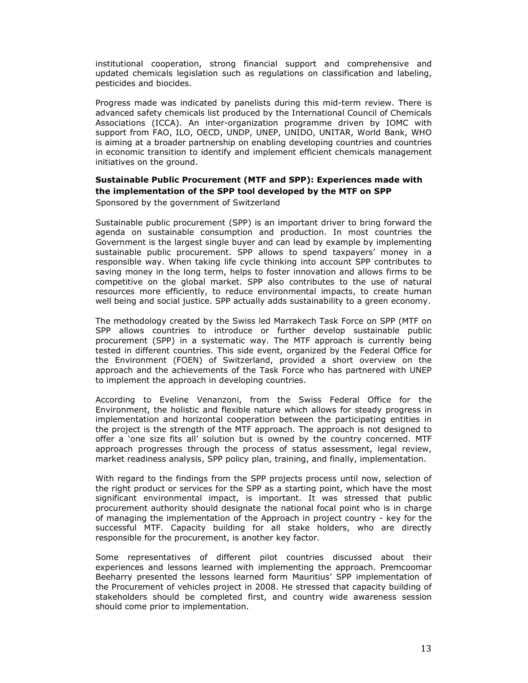institutional cooperation, strong financial support and comprehensive and updated chemicals legislation such as regulations on classification and labeling, pesticides and biocides.

Progress made was indicated by panelists during this mid-term review. There is advanced safety chemicals list produced by the International Council of Chemicals Associations (ICCA). An inter-organization programme driven by IOMC with support from FAO, ILO, OECD, UNDP, UNEP, UNIDO, UNITAR, World Bank, WHO is aiming at a broader partnership on enabling developing countries and countries in economic transition to identify and implement efficient chemicals management initiatives on the ground.

# **Sustainable Public Procurement (MTF and SPP): Experiences made with the implementation of the SPP tool developed by the MTF on SPP**

Sponsored by the government of Switzerland

Sustainable public procurement (SPP) is an important driver to bring forward the agenda on sustainable consumption and production. In most countries the Government is the largest single buyer and can lead by example by implementing sustainable public procurement. SPP allows to spend taxpayers' money in a responsible way. When taking life cycle thinking into account SPP contributes to saving money in the long term, helps to foster innovation and allows firms to be competitive on the global market. SPP also contributes to the use of natural resources more efficiently, to reduce environmental impacts, to create human well being and social justice. SPP actually adds sustainability to a green economy.

The methodology created by the Swiss led Marrakech Task Force on SPP (MTF on SPP allows countries to introduce or further develop sustainable public procurement (SPP) in a systematic way. The MTF approach is currently being tested in different countries. This side event, organized by the Federal Office for the Environment (FOEN) of Switzerland, provided a short overview on the approach and the achievements of the Task Force who has partnered with UNEP to implement the approach in developing countries.

According to Eveline Venanzoni, from the Swiss Federal Office for the Environment, the holistic and flexible nature which allows for steady progress in implementation and horizontal cooperation between the participating entities in the project is the strength of the MTF approach. The approach is not designed to offer a 'one size fits all' solution but is owned by the country concerned. MTF approach progresses through the process of status assessment, legal review, market readiness analysis, SPP policy plan, training, and finally, implementation.

With regard to the findings from the SPP projects process until now, selection of the right product or services for the SPP as a starting point, which have the most significant environmental impact, is important. It was stressed that public procurement authority should designate the national focal point who is in charge of managing the implementation of the Approach in project country - key for the successful MTF. Capacity building for all stake holders, who are directly responsible for the procurement, is another key factor.

Some representatives of different pilot countries discussed about their experiences and lessons learned with implementing the approach. Premcoomar Beeharry presented the lessons learned form Mauritius' SPP implementation of the Procurement of vehicles project in 2008. He stressed that capacity building of stakeholders should be completed first, and country wide awareness session should come prior to implementation.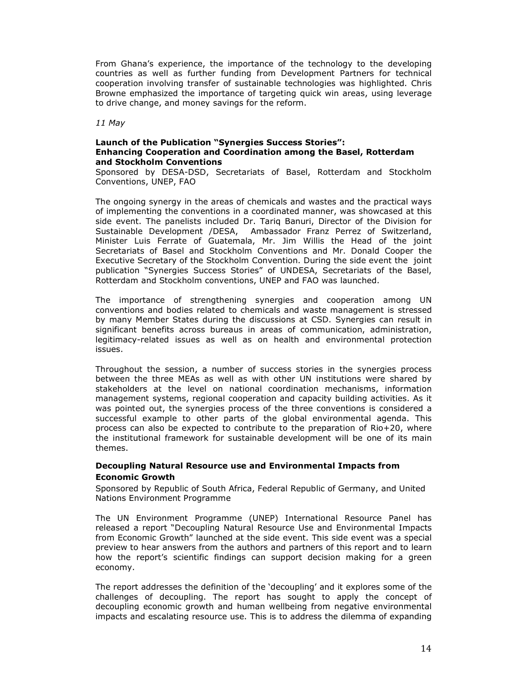From Ghana's experience, the importance of the technology to the developing countries as well as further funding from Development Partners for technical cooperation involving transfer of sustainable technologies was highlighted. Chris Browne emphasized the importance of targeting quick win areas, using leverage to drive change, and money savings for the reform.

*11 May* 

## **Launch of the Publication "Synergies Success Stories": Enhancing Cooperation and Coordination among the Basel, Rotterdam and Stockholm Conventions**

Sponsored by DESA-DSD, Secretariats of Basel, Rotterdam and Stockholm Conventions, UNEP, FAO

The ongoing synergy in the areas of chemicals and wastes and the practical ways of implementing the conventions in a coordinated manner, was showcased at this side event. The panelists included Dr. Tariq Banuri, Director of the Division for Sustainable Development /DESA, Ambassador Franz Perrez of Switzerland, Minister Luis Ferrate of Guatemala, Mr. Jim Willis the Head of the joint Secretariats of Basel and Stockholm Conventions and Mr. Donald Cooper the Executive Secretary of the Stockholm Convention. During the side event the joint publication "Synergies Success Stories" of UNDESA, Secretariats of the Basel, Rotterdam and Stockholm conventions, UNEP and FAO was launched.

The importance of strengthening synergies and cooperation among UN conventions and bodies related to chemicals and waste management is stressed by many Member States during the discussions at CSD. Synergies can result in significant benefits across bureaus in areas of communication, administration, legitimacy-related issues as well as on health and environmental protection issues.

Throughout the session, a number of success stories in the synergies process between the three MEAs as well as with other UN institutions were shared by stakeholders at the level on national coordination mechanisms, information management systems, regional cooperation and capacity building activities. As it was pointed out, the synergies process of the three conventions is considered a successful example to other parts of the global environmental agenda. This process can also be expected to contribute to the preparation of Rio+20, where the institutional framework for sustainable development will be one of its main themes.

# **Decoupling Natural Resource use and Environmental Impacts from Economic Growth**

Sponsored by Republic of South Africa, Federal Republic of Germany, and United Nations Environment Programme

The UN Environment Programme (UNEP) International Resource Panel has released a report "Decoupling Natural Resource Use and Environmental Impacts from Economic Growth" launched at the side event. This side event was a special preview to hear answers from the authors and partners of this report and to learn how the report's scientific findings can support decision making for a green economy.

The report addresses the definition of the 'decoupling' and it explores some of the challenges of decoupling. The report has sought to apply the concept of decoupling economic growth and human wellbeing from negative environmental impacts and escalating resource use. This is to address the dilemma of expanding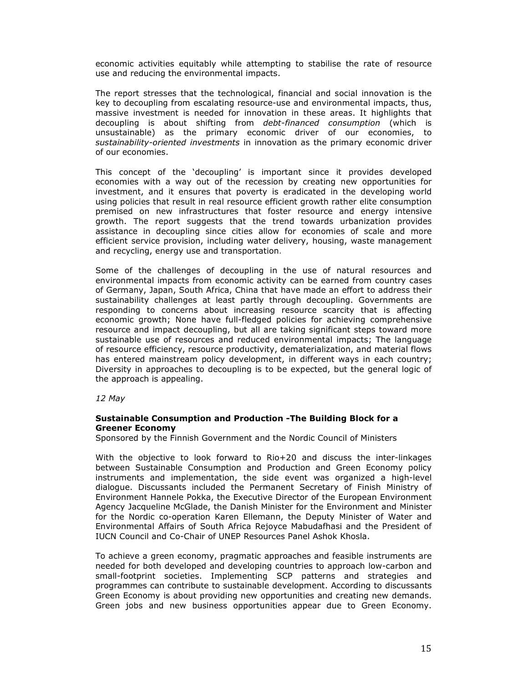economic activities equitably while attempting to stabilise the rate of resource use and reducing the environmental impacts.

The report stresses that the technological, financial and social innovation is the key to decoupling from escalating resource-use and environmental impacts, thus, massive investment is needed for innovation in these areas. It highlights that decoupling is about shifting from *debt-financed consumption* (which is unsustainable) as the primary economic driver of our economies, to *sustainability-oriented investments* in innovation as the primary economic driver of our economies.

This concept of the 'decoupling' is important since it provides developed economies with a way out of the recession by creating new opportunities for investment, and it ensures that poverty is eradicated in the developing world using policies that result in real resource efficient growth rather elite consumption premised on new infrastructures that foster resource and energy intensive growth. The report suggests that the trend towards urbanization provides assistance in decoupling since cities allow for economies of scale and more efficient service provision, including water delivery, housing, waste management and recycling, energy use and transportation.

Some of the challenges of decoupling in the use of natural resources and environmental impacts from economic activity can be earned from country cases of Germany, Japan, South Africa, China that have made an effort to address their sustainability challenges at least partly through decoupling. Governments are responding to concerns about increasing resource scarcity that is affecting economic growth; None have full-fledged policies for achieving comprehensive resource and impact decoupling, but all are taking significant steps toward more sustainable use of resources and reduced environmental impacts; The language of resource efficiency, resource productivity, dematerialization, and material flows has entered mainstream policy development, in different ways in each country; Diversity in approaches to decoupling is to be expected, but the general logic of the approach is appealing.

*12 May* 

## **Sustainable Consumption and Production -The Building Block for a Greener Economy**

Sponsored by the Finnish Government and the Nordic Council of Ministers

With the objective to look forward to Rio+20 and discuss the inter-linkages between Sustainable Consumption and Production and Green Economy policy instruments and implementation, the side event was organized a high-level dialogue. Discussants included the Permanent Secretary of Finish Ministry of Environment Hannele Pokka, the Executive Director of the European Environment Agency Jacqueline McGlade, the Danish Minister for the Environment and Minister for the Nordic co-operation Karen Ellemann, the Deputy Minister of Water and Environmental Affairs of South Africa Rejoyce Mabudafhasi and the President of IUCN Council and Co-Chair of UNEP Resources Panel Ashok Khosla.

To achieve a green economy, pragmatic approaches and feasible instruments are needed for both developed and developing countries to approach low-carbon and small-footprint societies. Implementing SCP patterns and strategies and programmes can contribute to sustainable development. According to discussants Green Economy is about providing new opportunities and creating new demands. Green jobs and new business opportunities appear due to Green Economy.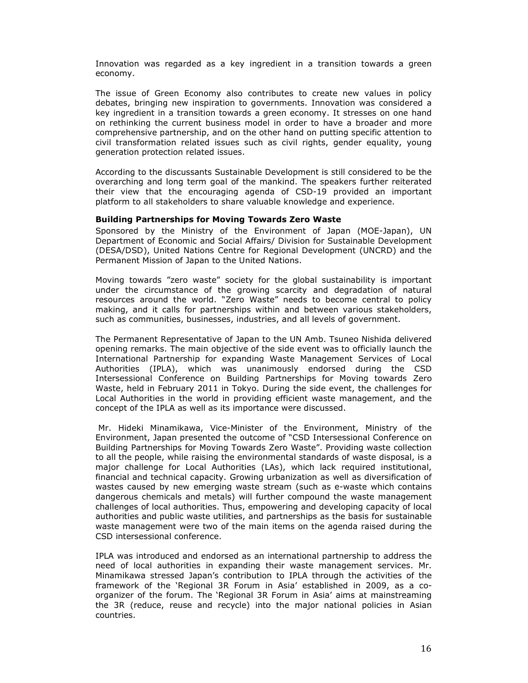Innovation was regarded as a key ingredient in a transition towards a green economy.

The issue of Green Economy also contributes to create new values in policy debates, bringing new inspiration to governments. Innovation was considered a key ingredient in a transition towards a green economy. It stresses on one hand on rethinking the current business model in order to have a broader and more comprehensive partnership, and on the other hand on putting specific attention to civil transformation related issues such as civil rights, gender equality, young generation protection related issues.

According to the discussants Sustainable Development is still considered to be the overarching and long term goal of the mankind. The speakers further reiterated their view that the encouraging agenda of CSD-19 provided an important platform to all stakeholders to share valuable knowledge and experience.

### **Building Partnerships for Moving Towards Zero Waste**

Sponsored by the Ministry of the Environment of Japan (MOE-Japan), UN Department of Economic and Social Affairs/ Division for Sustainable Development (DESA/DSD), United Nations Centre for Regional Development (UNCRD) and the Permanent Mission of Japan to the United Nations.

Moving towards "zero waste" society for the global sustainability is important under the circumstance of the growing scarcity and degradation of natural resources around the world. "Zero Waste" needs to become central to policy making, and it calls for partnerships within and between various stakeholders, such as communities, businesses, industries, and all levels of government.

The Permanent Representative of Japan to the UN Amb. Tsuneo Nishida delivered opening remarks. The main objective of the side event was to officially launch the International Partnership for expanding Waste Management Services of Local Authorities (IPLA), which was unanimously endorsed during the CSD Intersessional Conference on Building Partnerships for Moving towards Zero Waste, held in February 2011 in Tokyo. During the side event, the challenges for Local Authorities in the world in providing efficient waste management, and the concept of the IPLA as well as its importance were discussed.

Mr. Hideki Minamikawa, Vice-Minister of the Environment, Ministry of the Environment, Japan presented the outcome of "CSD Intersessional Conference on Building Partnerships for Moving Towards Zero Waste". Providing waste collection to all the people, while raising the environmental standards of waste disposal, is a major challenge for Local Authorities (LAs), which lack required institutional, financial and technical capacity. Growing urbanization as well as diversification of wastes caused by new emerging waste stream (such as e-waste which contains dangerous chemicals and metals) will further compound the waste management challenges of local authorities. Thus, empowering and developing capacity of local authorities and public waste utilities, and partnerships as the basis for sustainable waste management were two of the main items on the agenda raised during the CSD intersessional conference.

IPLA was introduced and endorsed as an international partnership to address the need of local authorities in expanding their waste management services. Mr. Minamikawa stressed Japan's contribution to IPLA through the activities of the framework of the 'Regional 3R Forum in Asia' established in 2009, as a coorganizer of the forum. The 'Regional 3R Forum in Asia' aims at mainstreaming the 3R (reduce, reuse and recycle) into the major national policies in Asian countries.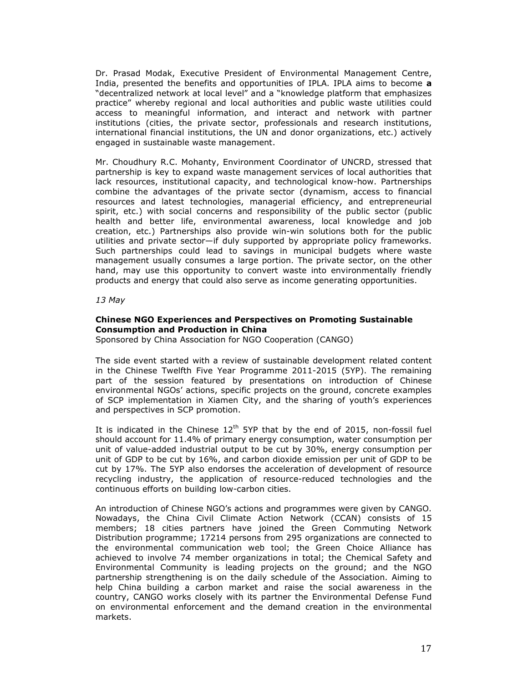Dr. Prasad Modak, Executive President of Environmental Management Centre, India, presented the benefits and opportunities of IPLA. IPLA aims to become **a**  "decentralized network at local level" and a "knowledge platform that emphasizes practice" whereby regional and local authorities and public waste utilities could access to meaningful information, and interact and network with partner institutions (cities, the private sector, professionals and research institutions, international financial institutions, the UN and donor organizations, etc.) actively engaged in sustainable waste management.

Mr. Choudhury R.C. Mohanty, Environment Coordinator of UNCRD, stressed that partnership is key to expand waste management services of local authorities that lack resources, institutional capacity, and technological know-how. Partnerships combine the advantages of the private sector (dynamism, access to financial resources and latest technologies, managerial efficiency, and entrepreneurial spirit, etc.) with social concerns and responsibility of the public sector (public health and better life, environmental awareness, local knowledge and job creation, etc.) Partnerships also provide win-win solutions both for the public utilities and private sector—if duly supported by appropriate policy frameworks. Such partnerships could lead to savings in municipal budgets where waste management usually consumes a large portion. The private sector, on the other hand, may use this opportunity to convert waste into environmentally friendly products and energy that could also serve as income generating opportunities.

*13 May* 

## **Chinese NGO Experiences and Perspectives on Promoting Sustainable Consumption and Production in China**

Sponsored by China Association for NGO Cooperation (CANGO)

The side event started with a review of sustainable development related content in the Chinese Twelfth Five Year Programme 2011-2015 (5YP). The remaining part of the session featured by presentations on introduction of Chinese environmental NGOs' actions, specific projects on the ground, concrete examples of SCP implementation in Xiamen City, and the sharing of youth's experiences and perspectives in SCP promotion.

It is indicated in the Chinese  $12^{th}$  5YP that by the end of 2015, non-fossil fuel should account for 11.4% of primary energy consumption, water consumption per unit of value-added industrial output to be cut by 30%, energy consumption per unit of GDP to be cut by 16%, and carbon dioxide emission per unit of GDP to be cut by 17%. The 5YP also endorses the acceleration of development of resource recycling industry, the application of resource-reduced technologies and the continuous efforts on building low-carbon cities.

An introduction of Chinese NGO's actions and programmes were given by CANGO. Nowadays, the China Civil Climate Action Network (CCAN) consists of 15 members; 18 cities partners have joined the Green Commuting Network Distribution programme; 17214 persons from 295 organizations are connected to the environmental communication web tool; the Green Choice Alliance has achieved to involve 74 member organizations in total; the Chemical Safety and Environmental Community is leading projects on the ground; and the NGO partnership strengthening is on the daily schedule of the Association. Aiming to help China building a carbon market and raise the social awareness in the country, CANGO works closely with its partner the Environmental Defense Fund on environmental enforcement and the demand creation in the environmental markets.